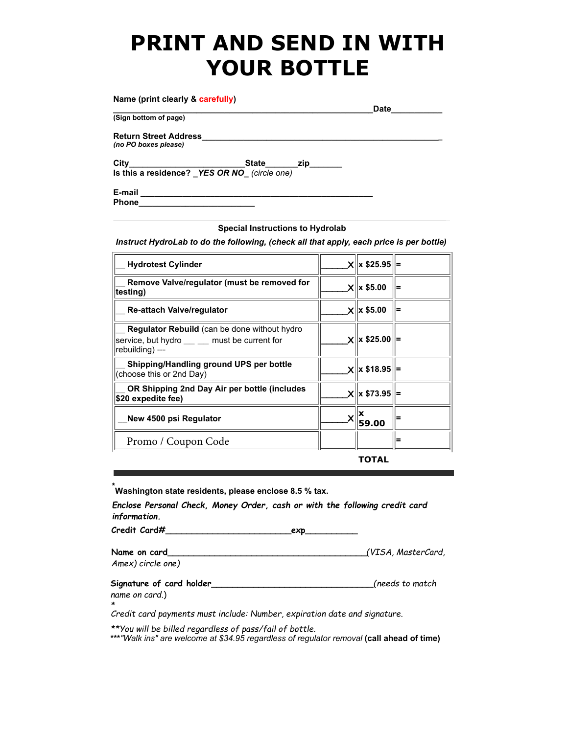## **PRINT AND SEND IN WITH YOUR BOTTLE**

| Name (print clearly & carefully)                     |           | Date |
|------------------------------------------------------|-----------|------|
| (Sign bottom of page)                                |           |      |
| <b>Return Street Address</b><br>(no PO boxes please) |           |      |
| City<br>Is this a residence? YES OR NO (circle one)  | State zip |      |
| E-mail<br><b>Phone</b>                               |           |      |

## **Special Instructions to Hydrolab**

*Instruct HydroLab to do the following, (check all that apply, each price is per bottle)*

| <b>Hydrotest Cylinder</b>                                                                                               | $X$ $x$ \$25.95   |   |
|-------------------------------------------------------------------------------------------------------------------------|-------------------|---|
| Remove Valve/regulator (must be removed for<br>ˈtesting)                                                                | $X$ $\ $ x \$5.00 | ⊨ |
| <b>Re-attach Valve/regulator</b>                                                                                        | $X$ $\ $ x \$5.00 |   |
| <b>Regulator Rebuild</b> (can be done without hydro<br>service, but hydro ___ __ must be current for<br>rebuilding) --- | $X$ $x$ \$25.00   |   |
| Shipping/Handling ground UPS per bottle<br>(choose this or 2nd Day)                                                     | $x  x $18.95  =$  |   |
| OR Shipping 2nd Day Air per bottle (includes<br><b>\$20 expedite fee)</b>                                               | x  x \$73.95      |   |
| New 4500 psi Regulator                                                                                                  | 59.00             |   |
| Promo / Coupon Code                                                                                                     |                   | ⊨ |

**TOTAL**

**\*Washington state residents, please enclose 8.5 % tax.**

*Enclose Personal Check, Money Order, cash or with the following credit card information.*

**Credit Card#\_\_\_\_\_\_\_\_\_\_\_\_\_\_\_\_\_\_\_\_\_\_\_\_exp\_\_\_\_\_\_\_\_\_\_**

**Name on card\_\_\_\_\_\_\_\_\_\_\_\_\_\_\_\_\_\_\_\_\_\_\_\_\_\_\_\_\_\_\_\_\_\_\_\_\_\_***(VISA, MasterCard, Amex) circle one)*

**Signature of card holder\_\_\_\_\_\_\_\_\_\_\_\_\_\_\_\_\_\_\_\_\_\_\_\_\_***\_\_\_\_\_\_(needs to match name on card.*)

*\**

*Credit card payments must include: Number, expiration date and signature.*

*\*\*You will be billed regardless of pass/fail of bottle.*

**\*\*\****"Walk ins" are welcome at \$34.95 regardless of regulator removal* **(call ahead of time)**